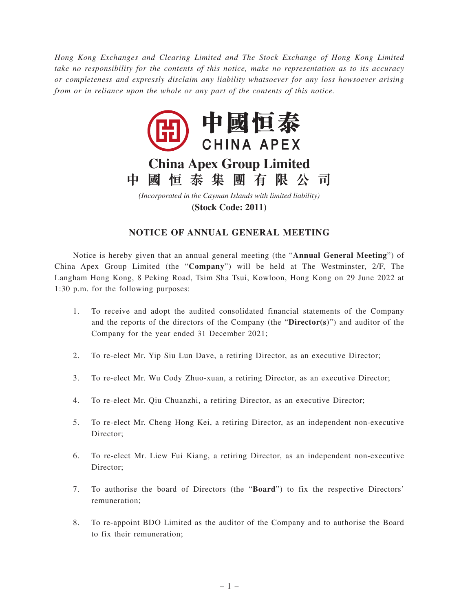*Hong Kong Exchanges and Clearing Limited and The Stock Exchange of Hong Kong Limited take no responsibility for the contents of this notice, make no representation as to its accuracy or completeness and expressly disclaim any liability whatsoever for any loss howsoever arising from or in reliance upon the whole or any part of the contents of this notice.*



**(Stock Code: 2011)**

## **NOTICE OF ANNUAL GENERAL MEETING**

Notice is hereby given that an annual general meeting (the "**Annual General Meeting**") of China Apex Group Limited (the "**Company**") will be held at The Westminster, 2/F, The Langham Hong Kong, 8 Peking Road, Tsim Sha Tsui, Kowloon, Hong Kong on 29 June 2022 at 1:30 p.m. for the following purposes:

- 1. To receive and adopt the audited consolidated financial statements of the Company and the reports of the directors of the Company (the "**Director(s)**") and auditor of the Company for the year ended 31 December 2021;
- 2. To re-elect Mr. Yip Siu Lun Dave, a retiring Director, as an executive Director;
- 3. To re-elect Mr. Wu Cody Zhuo-xuan, a retiring Director, as an executive Director;
- 4. To re-elect Mr. Qiu Chuanzhi, a retiring Director, as an executive Director;
- 5. To re-elect Mr. Cheng Hong Kei, a retiring Director, as an independent non-executive Director;
- 6. To re-elect Mr. Liew Fui Kiang, a retiring Director, as an independent non-executive Director;
- 7. To authorise the board of Directors (the "**Board**") to fix the respective Directors' remuneration;
- 8. To re-appoint BDO Limited as the auditor of the Company and to authorise the Board to fix their remuneration;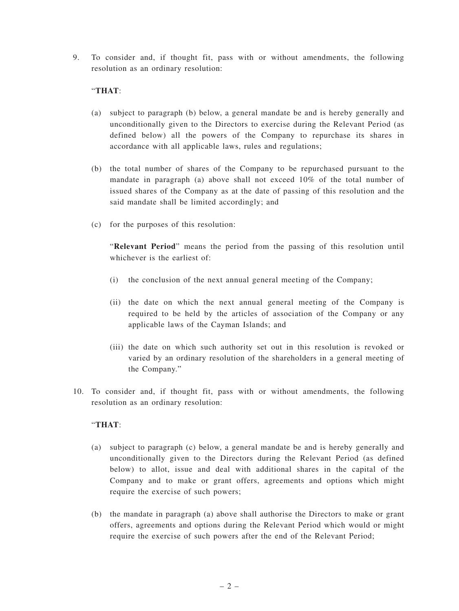9. To consider and, if thought fit, pass with or without amendments, the following resolution as an ordinary resolution:

## "**THAT**:

- (a) subject to paragraph (b) below, a general mandate be and is hereby generally and unconditionally given to the Directors to exercise during the Relevant Period (as defined below) all the powers of the Company to repurchase its shares in accordance with all applicable laws, rules and regulations;
- (b) the total number of shares of the Company to be repurchased pursuant to the mandate in paragraph (a) above shall not exceed 10% of the total number of issued shares of the Company as at the date of passing of this resolution and the said mandate shall be limited accordingly; and
- (c) for the purposes of this resolution:

"**Relevant Period**" means the period from the passing of this resolution until whichever is the earliest of.

- (i) the conclusion of the next annual general meeting of the Company;
- (ii) the date on which the next annual general meeting of the Company is required to be held by the articles of association of the Company or any applicable laws of the Cayman Islands; and
- (iii) the date on which such authority set out in this resolution is revoked or varied by an ordinary resolution of the shareholders in a general meeting of the Company."
- 10. To consider and, if thought fit, pass with or without amendments, the following resolution as an ordinary resolution:

## "**THAT**:

- (a) subject to paragraph (c) below, a general mandate be and is hereby generally and unconditionally given to the Directors during the Relevant Period (as defined below) to allot, issue and deal with additional shares in the capital of the Company and to make or grant offers, agreements and options which might require the exercise of such powers;
- (b) the mandate in paragraph (a) above shall authorise the Directors to make or grant offers, agreements and options during the Relevant Period which would or might require the exercise of such powers after the end of the Relevant Period;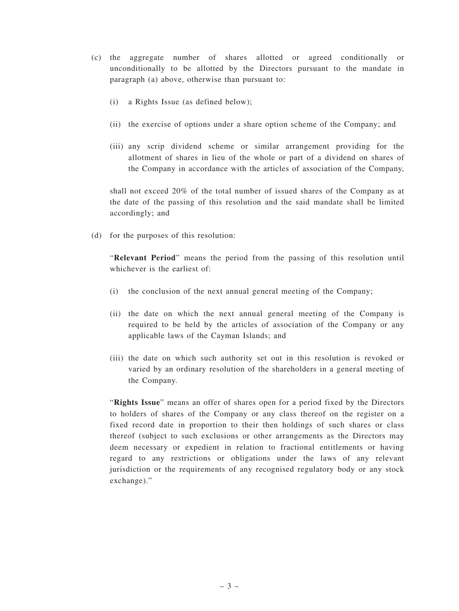- (c) the aggregate number of shares allotted or agreed conditionally or unconditionally to be allotted by the Directors pursuant to the mandate in paragraph (a) above, otherwise than pursuant to:
	- (i) a Rights Issue (as defined below);
	- (ii) the exercise of options under a share option scheme of the Company; and
	- (iii) any scrip dividend scheme or similar arrangement providing for the allotment of shares in lieu of the whole or part of a dividend on shares of the Company in accordance with the articles of association of the Company,

shall not exceed 20% of the total number of issued shares of the Company as at the date of the passing of this resolution and the said mandate shall be limited accordingly; and

(d) for the purposes of this resolution:

"**Relevant Period**" means the period from the passing of this resolution until whichever is the earliest of:

- (i) the conclusion of the next annual general meeting of the Company;
- (ii) the date on which the next annual general meeting of the Company is required to be held by the articles of association of the Company or any applicable laws of the Cayman Islands; and
- (iii) the date on which such authority set out in this resolution is revoked or varied by an ordinary resolution of the shareholders in a general meeting of the Company.

"**Rights Issue**" means an offer of shares open for a period fixed by the Directors to holders of shares of the Company or any class thereof on the register on a fixed record date in proportion to their then holdings of such shares or class thereof (subject to such exclusions or other arrangements as the Directors may deem necessary or expedient in relation to fractional entitlements or having regard to any restrictions or obligations under the laws of any relevant jurisdiction or the requirements of any recognised regulatory body or any stock exchange)."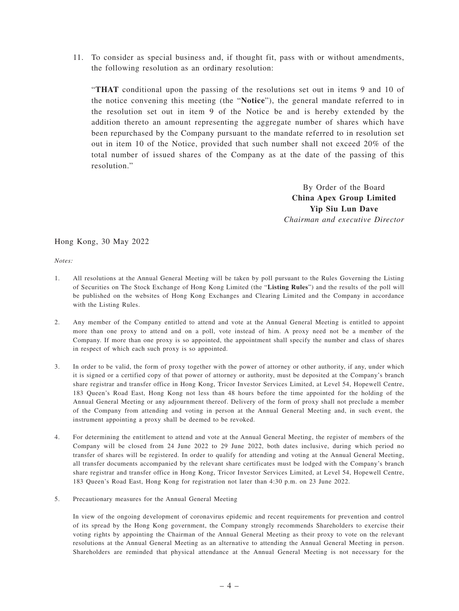11. To consider as special business and, if thought fit, pass with or without amendments, the following resolution as an ordinary resolution:

"**THAT** conditional upon the passing of the resolutions set out in items 9 and 10 of the notice convening this meeting (the "**Notice**"), the general mandate referred to in the resolution set out in item 9 of the Notice be and is hereby extended by the addition thereto an amount representing the aggregate number of shares which have been repurchased by the Company pursuant to the mandate referred to in resolution set out in item 10 of the Notice, provided that such number shall not exceed 20% of the total number of issued shares of the Company as at the date of the passing of this resolution."

> By Order of the Board **China Apex Group Limited Yip Siu Lun Dave** *Chairman and executive Director*

Hong Kong, 30 May 2022

*Notes:*

- 1. All resolutions at the Annual General Meeting will be taken by poll pursuant to the Rules Governing the Listing of Securities on The Stock Exchange of Hong Kong Limited (the "**Listing Rules**") and the results of the poll will be published on the websites of Hong Kong Exchanges and Clearing Limited and the Company in accordance with the Listing Rules.
- 2. Any member of the Company entitled to attend and vote at the Annual General Meeting is entitled to appoint more than one proxy to attend and on a poll, vote instead of him. A proxy need not be a member of the Company. If more than one proxy is so appointed, the appointment shall specify the number and class of shares in respect of which each such proxy is so appointed.
- 3. In order to be valid, the form of proxy together with the power of attorney or other authority, if any, under which it is signed or a certified copy of that power of attorney or authority, must be deposited at the Company's branch share registrar and transfer office in Hong Kong, Tricor Investor Services Limited, at Level 54, Hopewell Centre, 183 Queen's Road East, Hong Kong not less than 48 hours before the time appointed for the holding of the Annual General Meeting or any adjournment thereof. Delivery of the form of proxy shall not preclude a member of the Company from attending and voting in person at the Annual General Meeting and, in such event, the instrument appointing a proxy shall be deemed to be revoked.
- 4. For determining the entitlement to attend and vote at the Annual General Meeting, the register of members of the Company will be closed from 24 June 2022 to 29 June 2022, both dates inclusive, during which period no transfer of shares will be registered. In order to qualify for attending and voting at the Annual General Meeting, all transfer documents accompanied by the relevant share certificates must be lodged with the Company's branch share registrar and transfer office in Hong Kong, Tricor Investor Services Limited, at Level 54, Hopewell Centre, 183 Queen's Road East, Hong Kong for registration not later than 4:30 p.m. on 23 June 2022.
- 5. Precautionary measures for the Annual General Meeting

In view of the ongoing development of coronavirus epidemic and recent requirements for prevention and control of its spread by the Hong Kong government, the Company strongly recommends Shareholders to exercise their voting rights by appointing the Chairman of the Annual General Meeting as their proxy to vote on the relevant resolutions at the Annual General Meeting as an alternative to attending the Annual General Meeting in person. Shareholders are reminded that physical attendance at the Annual General Meeting is not necessary for the